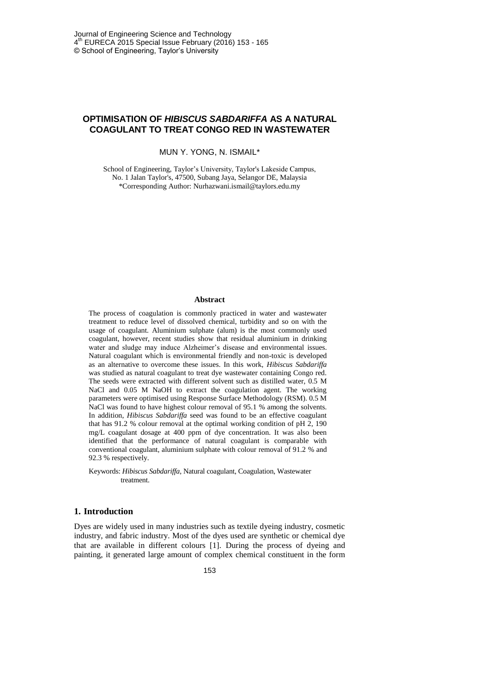# **OPTIMISATION OF** *HIBISCUS SABDARIFFA* **AS A NATURAL COAGULANT TO TREAT CONGO RED IN WASTEWATER**

MUN Y. YONG, N. ISMAIL\*

School of Engineering, Taylor's University, Taylor's Lakeside Campus, No. 1 Jalan Taylor's, 47500, Subang Jaya, Selangor DE, Malaysia \*Corresponding Author: [Nurhazwani.ismail@taylors.edu.my](mailto:Nurhazwani.ismail@taylors.edu.my)

#### **Abstract**

The process of coagulation is commonly practiced in water and wastewater treatment to reduce level of dissolved chemical, turbidity and so on with the usage of coagulant. Aluminium sulphate (alum) is the most commonly used coagulant, however, recent studies show that residual aluminium in drinking water and sludge may induce Alzheimer's disease and environmental issues. Natural coagulant which is environmental friendly and non-toxic is developed as an alternative to overcome these issues. In this work, *Hibiscus Sabdariffa* was studied as natural coagulant to treat dye wastewater containing Congo red. The seeds were extracted with different solvent such as distilled water, 0.5 M NaCl and 0.05 M NaOH to extract the coagulation agent. The working parameters were optimised using Response Surface Methodology (RSM). 0.5 M NaCl was found to have highest colour removal of 95.1 % among the solvents. In addition, *Hibiscus Sabdariffa* seed was found to be an effective coagulant that has 91.2 % colour removal at the optimal working condition of pH 2, 190 mg/L coagulant dosage at 400 ppm of dye concentration. It was also been identified that the performance of natural coagulant is comparable with conventional coagulant, aluminium sulphate with colour removal of 91.2 % and 92.3 % respectively.

Keywords: *Hibiscus Sabdariffa*, Natural coagulant, Coagulation, Wastewater treatment.

## **1. Introduction**

Dyes are widely used in many industries such as textile dyeing industry, cosmetic industry, and fabric industry. Most of the dyes used are synthetic or chemical dye that are available in different colours [1]. During the process of dyeing and painting, it generated large amount of complex chemical constituent in the form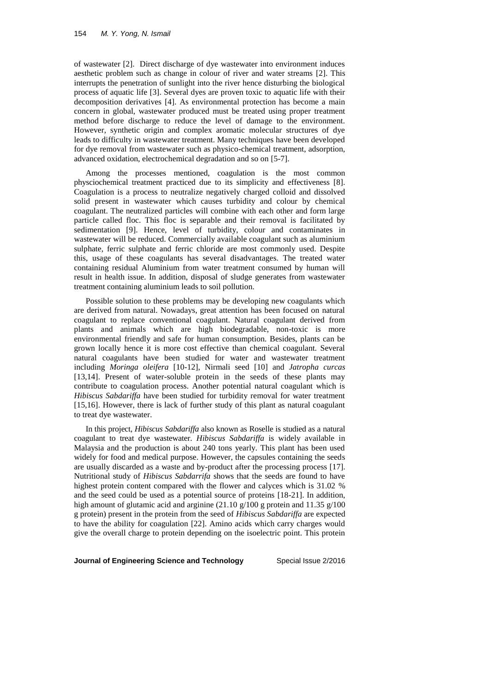of wastewater [2]. Direct discharge of dye wastewater into environment induces aesthetic problem such as change in colour of river and water streams [2]. This interrupts the penetration of sunlight into the river hence disturbing the biological process of aquatic life [3]. Several dyes are proven toxic to aquatic life with their decomposition derivatives [4]. As environmental protection has become a main concern in global, wastewater produced must be treated using proper treatment method before discharge to reduce the level of damage to the environment. However, synthetic origin and complex aromatic molecular structures of dye leads to difficulty in wastewater treatment. Many techniques have been developed for dye removal from wastewater such as physico-chemical treatment, adsorption, advanced oxidation, electrochemical degradation and so on [5-7].

Among the processes mentioned, coagulation is the most common physciochemical treatment practiced due to its simplicity and effectiveness [8]. Coagulation is a process to neutralize negatively charged colloid and dissolved solid present in wastewater which causes turbidity and colour by chemical coagulant. The neutralized particles will combine with each other and form large particle called floc. This floc is separable and their removal is facilitated by sedimentation [9]. Hence, level of turbidity, colour and contaminates in wastewater will be reduced. Commercially available coagulant such as aluminium sulphate, ferric sulphate and ferric chloride are most commonly used. Despite this, usage of these coagulants has several disadvantages. The treated water containing residual Aluminium from water treatment consumed by human will result in health issue. In addition, disposal of sludge generates from wastewater treatment containing aluminium leads to soil pollution.

Possible solution to these problems may be developing new coagulants which are derived from natural. Nowadays, great attention has been focused on natural coagulant to replace conventional coagulant. Natural coagulant derived from plants and animals which are high biodegradable, non-toxic is more environmental friendly and safe for human consumption. Besides, plants can be grown locally hence it is more cost effective than chemical coagulant. Several natural coagulants have been studied for water and wastewater treatment including *Moringa oleifera* [10-12], Nirmali seed [10] and *Jatropha curcas* [13,14]. Present of water-soluble protein in the seeds of these plants may contribute to coagulation process. Another potential natural coagulant which is *Hibiscus Sabdariffa* have been studied for turbidity removal for water treatment [15,16]. However, there is lack of further study of this plant as natural coagulant to treat dye wastewater.

In this project, *Hibiscus Sabdariffa* also known as Roselle is studied as a natural coagulant to treat dye wastewater. *Hibiscus Sabdariffa* is widely available in Malaysia and the production is about 240 tons yearly. This plant has been used widely for food and medical purpose. However, the capsules containing the seeds are usually discarded as a waste and by-product after the processing process [17]. Nutritional study of *Hibiscus Sabdarrifa* shows that the seeds are found to have highest protein content compared with the flower and calyces which is 31.02 % and the seed could be used as a potential source of proteins [18-21]. In addition, high amount of glutamic acid and arginine (21.10 g/100 g protein and 11.35 g/100 g protein) present in the protein from the seed of *Hibiscus Sabdariffa* are expected to have the ability for coagulation [22]. Amino acids which carry charges would give the overall charge to protein depending on the isoelectric point. This protein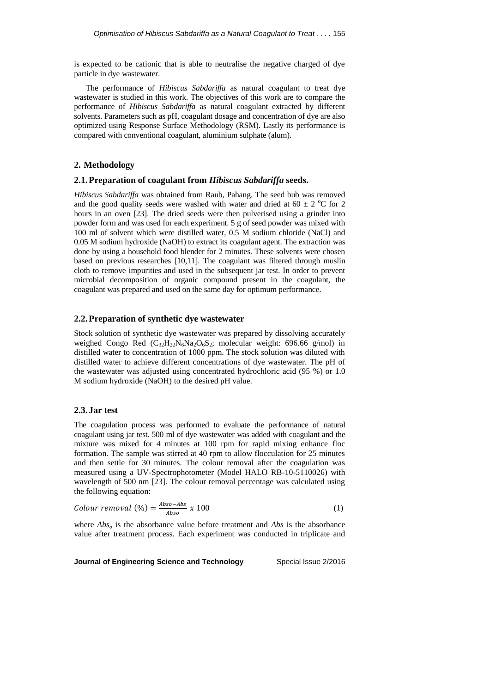is expected to be cationic that is able to neutralise the negative charged of dye particle in dye wastewater.

The performance of *Hibiscus Sabdariffa* as natural coagulant to treat dye wastewater is studied in this work. The objectives of this work are to compare the performance of *Hibiscus Sabdariffa* as natural coagulant extracted by different solvents. Parameters such as pH, coagulant dosage and concentration of dye are also optimized using Response Surface Methodology (RSM). Lastly its performance is compared with conventional coagulant, aluminium sulphate (alum).

#### **2. Methodology**

#### **2.1.Preparation of coagulant from** *Hibiscus Sabdariffa* **seeds.**

*Hibiscus Sabdariffa* was obtained from Raub, Pahang. The seed bub was removed and the good quality seeds were washed with water and dried at 60  $\pm$  2 °C for 2 hours in an oven [23]. The dried seeds were then pulverised using a grinder into powder form and was used for each experiment. 5 g of seed powder was mixed with 100 ml of solvent which were distilled water, 0.5 M sodium chloride (NaCl) and 0.05 M sodium hydroxide (NaOH) to extract its coagulant agent. The extraction was done by using a household food blender for 2 minutes. These solvents were chosen based on previous researches [10,11]. The coagulant was filtered through muslin cloth to remove impurities and used in the subsequent jar test. In order to prevent microbial decomposition of organic compound present in the coagulant, the coagulant was prepared and used on the same day for optimum performance.

## **2.2.Preparation of synthetic dye wastewater**

Stock solution of synthetic dye wastewater was prepared by dissolving accurately weighed Congo Red  $(C_{32}H_{22}N_6Na_2O_6S_2$ ; molecular weight: 696.66 g/mol) in distilled water to concentration of 1000 ppm. The stock solution was diluted with distilled water to achieve different concentrations of dye wastewater. The pH of the wastewater was adjusted using concentrated hydrochloric acid (95 %) or 1.0 M sodium hydroxide (NaOH) to the desired pH value.

### **2.3. Jar test**

The coagulation process was performed to evaluate the performance of natural coagulant using jar test. 500 ml of dye wastewater was added with coagulant and the mixture was mixed for 4 minutes at 100 rpm for rapid mixing enhance floc formation. The sample was stirred at 40 rpm to allow flocculation for 25 minutes and then settle for 30 minutes. The colour removal after the coagulation was measured using a UV-Spectrophotometer (Model HALO RB-10-5110026) with wavelength of 500 nm [23]. The colour removal percentage was calculated using the following equation:

$$
Column removal (\%) = \frac{Abso - Abs}{Abso} \times 100 \tag{1}
$$

where *Abs<sup>o</sup>* is the absorbance value before treatment and *Abs* is the absorbance value after treatment process. Each experiment was conducted in triplicate and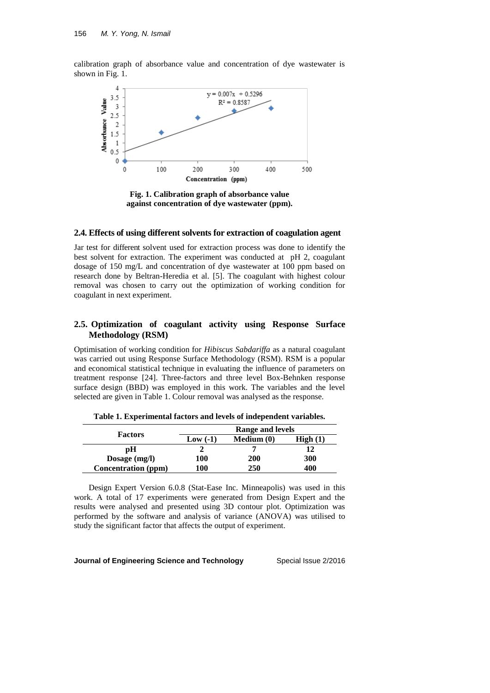calibration graph of absorbance value and concentration of dye wastewater is shown in Fig. 1.



**Fig. 1. Calibration graph of absorbance value against concentration of dye wastewater (ppm).**

#### **2.4. Effects of using different solvents for extraction of coagulation agent**

Jar test for different solvent used for extraction process was done to identify the best solvent for extraction. The experiment was conducted at pH 2, coagulant dosage of 150 mg/L and concentration of dye wastewater at 100 ppm based on research done by Beltran-Heredia et al. [5]. The coagulant with highest colour removal was chosen to carry out the optimization of working condition for coagulant in next experiment.

# **2.5. Optimization of coagulant activity using Response Surface Methodology (RSM)**

Optimisation of working condition for *Hibiscus Sabdariffa* as a natural coagulant was carried out using Response Surface Methodology (RSM). RSM is a popular and economical statistical technique in evaluating the influence of parameters on treatment response [24]. Three-factors and three level Box-Behnken response surface design (BBD) was employed in this work. The variables and the level selected are given in Table 1. Colour removal was analysed as the response.

| <b>Factors</b>             | Range and levels |            |         |  |  |
|----------------------------|------------------|------------|---------|--|--|
|                            | Low $(-1)$       | Medium (0) | High(1) |  |  |
| рH                         |                  |            | 12      |  |  |
| Dosage $(mg/l)$            | 100              | <b>200</b> | 300     |  |  |
| <b>Concentration (ppm)</b> | 100              | 250        | 400     |  |  |

**Table 1. Experimental factors and levels of independent variables.**

Design Expert Version 6.0.8 (Stat-Ease Inc. Minneapolis) was used in this work. A total of 17 experiments were generated from Design Expert and the results were analysed and presented using 3D contour plot. Optimization was performed by the software and analysis of variance (ANOVA) was utilised to study the significant factor that affects the output of experiment.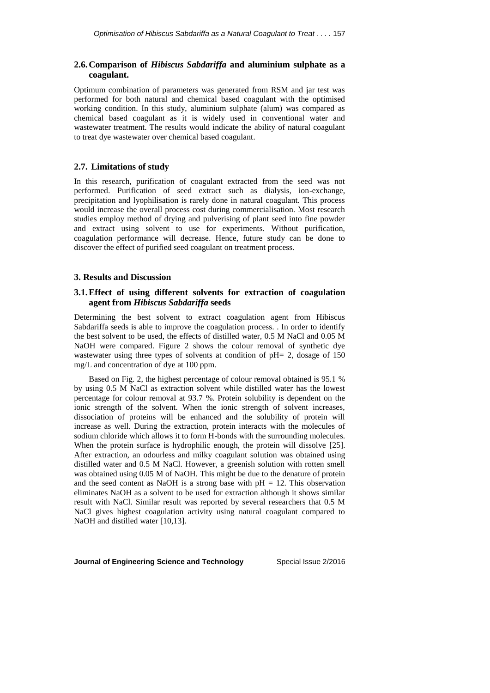# **2.6.Comparison of** *Hibiscus Sabdariffa* **and aluminium sulphate as a coagulant.**

Optimum combination of parameters was generated from RSM and jar test was performed for both natural and chemical based coagulant with the optimised working condition. In this study, aluminium sulphate (alum) was compared as chemical based coagulant as it is widely used in conventional water and wastewater treatment. The results would indicate the ability of natural coagulant to treat dye wastewater over chemical based coagulant.

### **2.7. Limitations of study**

In this research, purification of coagulant extracted from the seed was not performed. Purification of seed extract such as dialysis, ion-exchange, precipitation and lyophilisation is rarely done in natural coagulant. This process would increase the overall process cost during commercialisation. Most research studies employ method of drying and pulverising of plant seed into fine powder and extract using solvent to use for experiments. Without purification, coagulation performance will decrease. Hence, future study can be done to discover the effect of purified seed coagulant on treatment process.

## **3. Results and Discussion**

# **3.1.Effect of using different solvents for extraction of coagulation agent from** *Hibiscus Sabdariffa* **seeds**

Determining the best solvent to extract coagulation agent from Hibiscus Sabdariffa seeds is able to improve the coagulation process. . In order to identify the best solvent to be used, the effects of distilled water, 0.5 M NaCl and 0.05 M NaOH were compared. Figure 2 shows the colour removal of synthetic dye wastewater using three types of solvents at condition of pH= 2, dosage of 150 mg/L and concentration of dye at 100 ppm.

Based on Fig. 2, the highest percentage of colour removal obtained is 95.1 % by using 0.5 M NaCl as extraction solvent while distilled water has the lowest percentage for colour removal at 93.7 %. Protein solubility is dependent on the ionic strength of the solvent. When the ionic strength of solvent increases, dissociation of proteins will be enhanced and the solubility of protein will increase as well. During the extraction, protein interacts with the molecules of sodium chloride which allows it to form H-bonds with the surrounding molecules. When the protein surface is hydrophilic enough, the protein will dissolve [25]. After extraction, an odourless and milky coagulant solution was obtained using distilled water and 0.5 M NaCl. However, a greenish solution with rotten smell was obtained using 0.05 M of NaOH. This might be due to the denature of protein and the seed content as NaOH is a strong base with  $pH = 12$ . This observation eliminates NaOH as a solvent to be used for extraction although it shows similar result with NaCl. Similar result was reported by several researchers that 0.5 M NaCl gives highest coagulation activity using natural coagulant compared to NaOH and distilled water [10,13].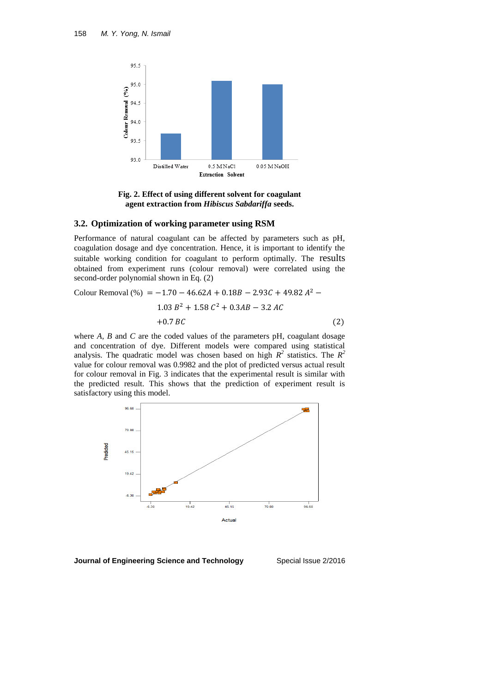

**Fig. 2. Effect of using different solvent for coagulant agent extraction from** *Hibiscus Sabdariffa* **seeds.**

#### **3.2. Optimization of working parameter using RSM**

Performance of natural coagulant can be affected by parameters such as pH, coagulation dosage and dye concentration. Hence, it is important to identify the suitable working condition for coagulant to perform optimally. The results obtained from experiment runs (colour removal) were correlated using the second-order polynomial shown in Eq. (2)

Colour Removal (%) = 
$$
-1.70 - 46.62A + 0.18B - 2.93C + 49.82 A^{2} - 1.03 B^{2} + 1.58 C^{2} + 0.3AB - 3.2 AC
$$

\n
$$
+0.7 BC
$$

\n(2)

where *A, B* and *C* are the coded values of the parameters pH, coagulant dosage and concentration of dye. Different models were compared using statistical analysis. The quadratic model was chosen based on high  $R^2$  statistics. The  $R^2$ value for colour removal was 0.9982 and the plot of predicted versus actual result for colour removal in Fig. 3 indicates that the experimental result is similar with the predicted result. This shows that the prediction of experiment result is satisfactory using this model.



**Journal of Engineering Science and Technology**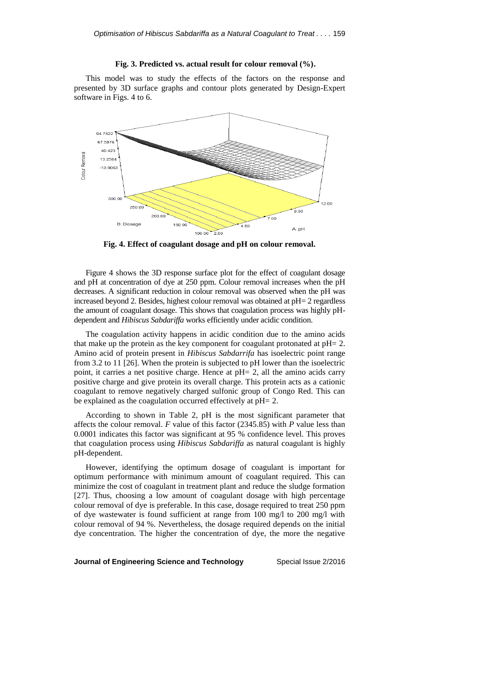# **Fig. 3. Predicted vs. actual result for colour removal (%).**

This model was to study the effects of the factors on the response and presented by 3D surface graphs and contour plots generated by Design-Expert software in Figs. 4 to 6.



**Fig. 4. Effect of coagulant dosage and pH on colour removal.**

Figure 4 shows the 3D response surface plot for the effect of coagulant dosage and pH at concentration of dye at 250 ppm. Colour removal increases when the pH decreases. A significant reduction in colour removal was observed when the pH was increased beyond 2. Besides, highest colour removal was obtained at pH= 2 regardless the amount of coagulant dosage. This shows that coagulation process was highly pHdependent and *Hibiscus Sabdariffa* works efficiently under acidic condition.

The coagulation activity happens in acidic condition due to the amino acids that make up the protein as the key component for coagulant protonated at pH= 2. Amino acid of protein present in *Hibiscus Sabdarrifa* has isoelectric point range from 3.2 to 11 [26]. When the protein is subjected to pH lower than the isoelectric point, it carries a net positive charge. Hence at pH= 2, all the amino acids carry positive charge and give protein its overall charge. This protein acts as a cationic coagulant to remove negatively charged sulfonic group of Congo Red. This can be explained as the coagulation occurred effectively at pH= 2.

According to shown in Table 2, pH is the most significant parameter that affects the colour removal. *F* value of this factor (2345.85) with *P* value less than 0.0001 indicates this factor was significant at 95 % confidence level. This proves that coagulation process using *Hibiscus Sabdariffa* as natural coagulant is highly pH-dependent.

However, identifying the optimum dosage of coagulant is important for optimum performance with minimum amount of coagulant required. This can minimize the cost of coagulant in treatment plant and reduce the sludge formation [27]. Thus, choosing a low amount of coagulant dosage with high percentage colour removal of dye is preferable. In this case, dosage required to treat 250 ppm of dye wastewater is found sufficient at range from 100 mg/l to 200 mg/l with colour removal of 94 %. Nevertheless, the dosage required depends on the initial dye concentration. The higher the concentration of dye, the more the negative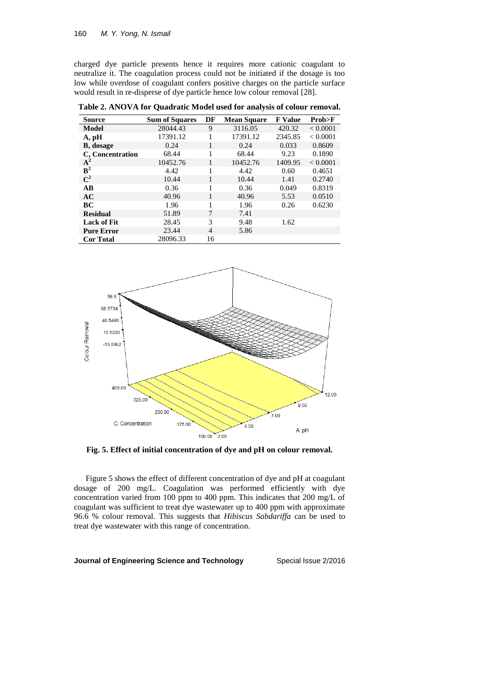charged dye particle presents hence it requires more cationic coagulant to neutralize it. The coagulation process could not be initiated if the dosage is too low while overdose of coagulant confers positive charges on the particle surface would result in re-disperse of dye particle hence low colour removal [28].

| <b>Source</b>      | <b>Sum of Squares</b> | DF | <b>Mean Square</b> | <b>F</b> Value | Prob>F   |
|--------------------|-----------------------|----|--------------------|----------------|----------|
| Model              | 28044.43              | 9  | 3116.05            | 420.32         | < 0.0001 |
| A, pH              | 17391.12              | 1  | 17391.12           | 2345.85        | < 0.0001 |
| <b>B</b> , dosage  | 0.24                  | 1  | 0.24               | 0.033          | 0.8609   |
| C, Concentration   | 68.44                 | 1  | 68.44              | 9.23           | 0.1890   |
| ${\rm A}^2$        | 10452.76              | 1  | 10452.76           | 1409.95        | < 0.0001 |
| ${\bf B}^2$        | 4.42                  |    | 4.42               | 0.60           | 0.4651   |
| $\mathbf{C}^2$     | 10.44                 | 1  | 10.44              | 1.41           | 0.2740   |
| $\overline{AB}$    | 0.36                  | 1  | 0.36               | 0.049          | 0.8319   |
| AC                 | 40.96                 |    | 40.96              | 5.53           | 0.0510   |
| BС                 | 1.96                  | 1  | 1.96               | 0.26           | 0.6230   |
| <b>Residual</b>    | 51.89                 | 7  | 7.41               |                |          |
| <b>Lack of Fit</b> | 28.45                 | 3  | 9.48               | 1.62           |          |
| <b>Pure Error</b>  | 23.44                 | 4  | 5.86               |                |          |
| <b>Cor Total</b>   | 28096.33              | 16 |                    |                |          |

**Table 2. ANOVA for Quadratic Model used for analysis of colour removal.**



**Fig. 5. Effect of initial concentration of dye and pH on colour removal.**

Figure 5 shows the effect of different concentration of dye and pH at coagulant dosage of 200 mg/L. Coagulation was performed efficiently with dye concentration varied from 100 ppm to 400 ppm. This indicates that 200 mg/L of coagulant was sufficient to treat dye wastewater up to 400 ppm with approximate 96.6 % colour removal. This suggests that *Hibiscus Sabdariffa* can be used to treat dye wastewater with this range of concentration.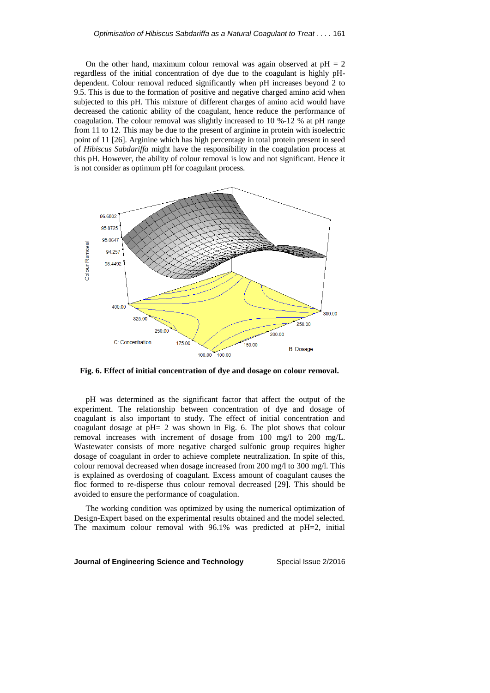On the other hand, maximum colour removal was again observed at  $pH = 2$ regardless of the initial concentration of dye due to the coagulant is highly pHdependent. Colour removal reduced significantly when pH increases beyond 2 to 9.5. This is due to the formation of positive and negative charged amino acid when subjected to this pH. This mixture of different charges of amino acid would have decreased the cationic ability of the coagulant, hence reduce the performance of coagulation. The colour removal was slightly increased to 10 %-12 % at pH range from 11 to 12. This may be due to the present of arginine in protein with isoelectric point of 11 [26]. Arginine which has high percentage in total protein present in seed of *Hibiscus Sabdariffa* might have the responsibility in the coagulation process at this pH. However, the ability of colour removal is low and not significant. Hence it is not consider as optimum pH for coagulant process.



**Fig. 6. Effect of initial concentration of dye and dosage on colour removal.**

pH was determined as the significant factor that affect the output of the experiment. The relationship between concentration of dye and dosage of coagulant is also important to study. The effect of initial concentration and coagulant dosage at pH= 2 was shown in Fig. 6. The plot shows that colour removal increases with increment of dosage from 100 mg/l to 200 mg/L. Wastewater consists of more negative charged sulfonic group requires higher dosage of coagulant in order to achieve complete neutralization. In spite of this, colour removal decreased when dosage increased from 200 mg/l to 300 mg/l. This is explained as overdosing of coagulant. Excess amount of coagulant causes the floc formed to re-disperse thus colour removal decreased [29]. This should be avoided to ensure the performance of coagulation.

The working condition was optimized by using the numerical optimization of Design-Expert based on the experimental results obtained and the model selected. The maximum colour removal with 96.1% was predicted at pH=2, initial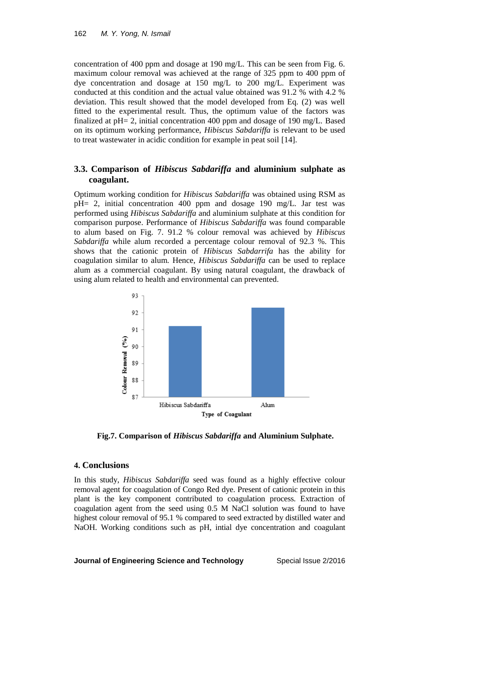concentration of 400 ppm and dosage at 190 mg/L. This can be seen from Fig. 6. maximum colour removal was achieved at the range of 325 ppm to 400 ppm of dye concentration and dosage at 150 mg/L to 200 mg/L. Experiment was conducted at this condition and the actual value obtained was 91.2 % with 4.2 % deviation. This result showed that the model developed from Eq. (2) was well fitted to the experimental result. Thus, the optimum value of the factors was finalized at pH= 2, initial concentration 400 ppm and dosage of 190 mg/L. Based on its optimum working performance, *Hibiscus Sabdariffa* is relevant to be used to treat wastewater in acidic condition for example in peat soil [14].

# **3.3. Comparison of** *Hibiscus Sabdariffa* **and aluminium sulphate as coagulant.**

Optimum working condition for *Hibiscus Sabdariffa* was obtained using RSM as pH= 2, initial concentration 400 ppm and dosage 190 mg/L. Jar test was performed using *Hibiscus Sabdariffa* and aluminium sulphate at this condition for comparison purpose. Performance of *Hibiscus Sabdariffa* was found comparable to alum based on Fig. 7. 91.2 % colour removal was achieved by *Hibiscus Sabdariffa* while alum recorded a percentage colour removal of 92.3 %. This shows that the cationic protein of *Hibiscus Sabdarrifa* has the ability for coagulation similar to alum. Hence, *Hibiscus Sabdariffa* can be used to replace alum as a commercial coagulant. By using natural coagulant, the drawback of using alum related to health and environmental can prevented.



**Fig.7. Comparison of** *Hibiscus Sabdariffa* **and Aluminium Sulphate.**

#### **4. Conclusions**

In this study, *Hibiscus Sabdariffa* seed was found as a highly effective colour removal agent for coagulation of Congo Red dye. Present of cationic protein in this plant is the key component contributed to coagulation process. Extraction of coagulation agent from the seed using 0.5 M NaCl solution was found to have highest colour removal of 95.1 % compared to seed extracted by distilled water and NaOH. Working conditions such as pH, intial dye concentration and coagulant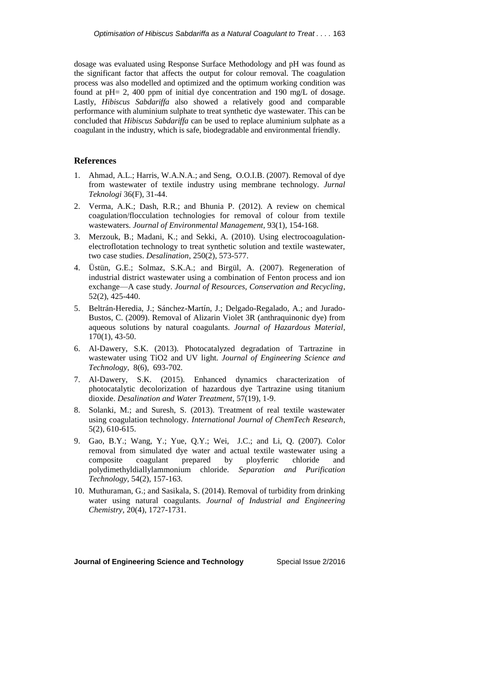dosage was evaluated using Response Surface Methodology and pH was found as the significant factor that affects the output for colour removal. The coagulation process was also modelled and optimized and the optimum working condition was found at  $pH = 2$ , 400 ppm of initial dye concentration and 190 mg/L of dosage. Lastly, *Hibiscus Sabdariffa* also showed a relatively good and comparable performance with aluminium sulphate to treat synthetic dye wastewater. This can be concluded that *Hibiscus Sabdariffa* can be used to replace aluminium sulphate as a coagulant in the industry, which is safe, biodegradable and environmental friendly.

# **References**

- 1. Ahmad, A.L.; Harris, W.A.N.A.; and Seng, O.O.I.B. (2007). Removal of dye from wastewater of textile industry using membrane technology. *Jurnal Teknologi* 36(F), 31-44.
- 2. Verma, A.K.; Dash, R.R.; and Bhunia P. (2012). A review on chemical coagulation/flocculation technologies for removal of colour from textile wastewaters. *Journal of Environmental Management,* 93(1), 154-168.
- 3. Merzouk, B.; Madani, K.; and Sekki, A. (2010). Using electrocoagulationelectroflotation technology to treat synthetic solution and textile wastewater, two case studies. *Desalination*, 250(2), 573-577.
- 4. Üstün, G.E.; Solmaz, S.K.A.; and Birgül, A. (2007). Regeneration of industrial district wastewater using a combination of Fenton process and ion exchange—A case study. *Journal of Resources, Conservation and Recycling*, 52(2), 425-440.
- 5. Beltrán-Heredia, J.; Sánchez-Martín, J.; Delgado-Regalado, A.; and Jurado-Bustos, C. (2009). Removal of Alizarin Violet 3R (anthraquinonic dye) from aqueous solutions by natural coagulants. *Journal of Hazardous Material*, 170(1), 43-50.
- 6. Al-Dawery, S.K. (2013). Photocatalyzed degradation of Tartrazine in wastewater using TiO2 and UV light. *Journal of Engineering Science and Technology*, 8(6), 693-702.
- 7. Al-Dawery, S.K. (2015). Enhanced dynamics characterization of photocatalytic decolorization of hazardous dye Tartrazine using titanium dioxide. *Desalination and Water Treatment*, 57(19), 1-9.
- 8. Solanki, M.; and Suresh, S. (2013). Treatment of real textile wastewater using coagulation technology. *International Journal of ChemTech Research*, 5(2), 610-615.
- 9. Gao, B.Y.; Wang, Y.; Yue, Q.Y.; Wei, J.C.; and Li, Q. (2007). Color removal from simulated dye water and actual textile wastewater using a composite coagulant prepared by ployferric chloride and polydimethyldiallylammonium chloride. *Separation and Purification Technology,* 54(2), 157-163.
- 10. Muthuraman, G.; and Sasikala, S. (2014). Removal of turbidity from drinking water using natural coagulants. *Journal of Industrial and Engineering Chemistry,* 20(4), 1727-1731.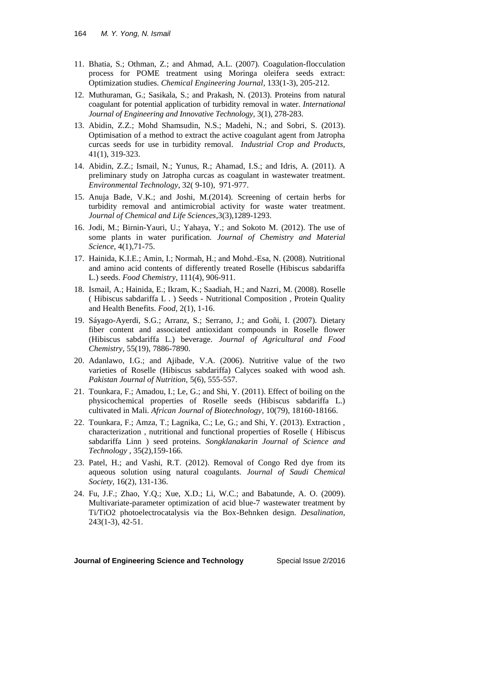- 11. Bhatia, S.; Othman, Z.; and Ahmad, A.L. (2007). Coagulation-flocculation process for POME treatment using Moringa oleifera seeds extract: Optimization studies. *Chemical Engineering Journal*, 133(1-3), 205-212.
- 12. Muthuraman, G.; Sasikala, S.; and Prakash, N. (2013). Proteins from natural coagulant for potential application of turbidity removal in water. *International Journal of Engineering and Innovative Technology,* 3(1), 278-283.
- 13. Abidin, Z.Z.; Mohd Shamsudin, N.S.; Madehi, N.; and Sobri, S. (2013). Optimisation of a method to extract the active coagulant agent from Jatropha curcas seeds for use in turbidity removal. *Industrial Crop and Products,*  41(1), 319-323.
- 14. Abidin, Z.Z.; Ismail, N.; Yunus, R.; Ahamad, I.S.; and Idris, A. (2011). A preliminary study on Jatropha curcas as coagulant in wastewater treatment. *Environmental Technology*, 32( 9-10), 971-977.
- 15. Anuja Bade, V.K.; and Joshi, M.(2014). Screening of certain herbs for turbidity removal and antimicrobial activity for waste water treatment. *Journal of Chemical and Life Sciences*,3(3),1289-1293.
- 16. Jodi, M.; Birnin-Yauri, U.; Yahaya, Y.; and Sokoto M. (2012). The use of some plants in water purification. *Journal of Chemistry and Material Science,* 4(1),71-75.
- 17. Hainida, K.I.E.; Amin, I.; Normah, H.; and Mohd.-Esa, N. (2008). Nutritional and amino acid contents of differently treated Roselle (Hibiscus sabdariffa L.) seeds. *Food Chemistry*, 111(4), 906-911.
- 18. Ismail, A.; Hainida, E.; Ikram, K.; Saadiah, H.; and Nazri, M. (2008). Roselle ( Hibiscus sabdariffa L . ) Seeds - Nutritional Composition , Protein Quality and Health Benefits. *Food*, 2(1), 1-16.
- 19. Sáyago-Ayerdi, S.G.; Arranz, S.; Serrano, J.; and Goñi, I. (2007). Dietary fiber content and associated antioxidant compounds in Roselle flower (Hibiscus sabdariffa L.) beverage. *Journal of Agricultural and Food Chemistry,* 55(19), 7886-7890.
- 20. Adanlawo, I.G.; and Ajibade, V.A. (2006). Nutritive value of the two varieties of Roselle (Hibiscus sabdariffa) Calyces soaked with wood ash. *Pakistan Journal of Nutrition,* 5(6), 555-557.
- 21. Tounkara, F.; Amadou, I.; Le, G.; and Shi, Y. (2011). Effect of boiling on the physicochemical properties of Roselle seeds (Hibiscus sabdariffa L.) cultivated in Mali. *African Journal of Biotechnology,* 10(79), 18160-18166.
- 22. Tounkara, F.; Amza, T.; Lagnika, C.; Le, G.; and Shi, Y. (2013). Extraction , characterization , nutritional and functional properties of Roselle ( Hibiscus sabdariffa Linn ) seed proteins. *Songklanakarin Journal of Science and Technology* , 35(2),159-166.
- 23. Patel, H.; and Vashi, R.T. (2012). Removal of Congo Red dye from its aqueous solution using natural coagulants. *Journal of Saudi Chemical Society,* 16(2), 131-136.
- 24. Fu, J.F.; Zhao, Y.Q.; Xue, X.D.; Li, W.C.; and Babatunde, A. O. (2009). Multivariate-parameter optimization of acid blue-7 wastewater treatment by Ti/TiO2 photoelectrocatalysis via the Box-Behnken design. *Desalination*, 243(1-3), 42-51.